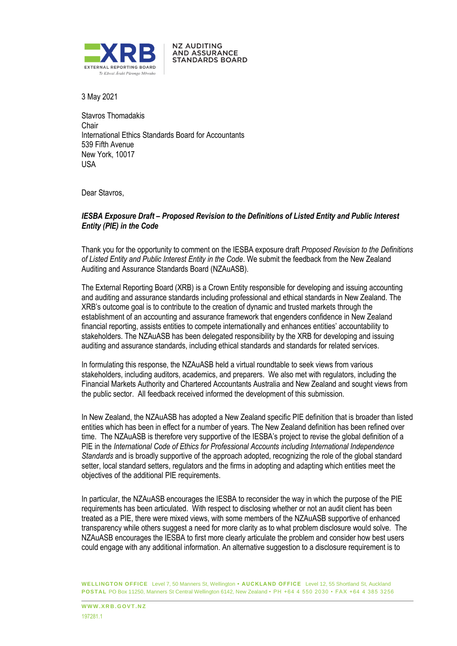

3 May 2021

Stavros Thomadakis Chair International Ethics Standards Board for Accountants 539 Fifth Avenue New York, 10017 USA

**NZ AUDITING AND ASSURANCE STANDARDS BOARD** 

Dear Stavros,

### *IESBA Exposure Draft – Proposed Revision to the Definitions of Listed Entity and Public Interest Entity (PIE) in the Code*

Thank you for the opportunity to comment on the IESBA exposure draft *Proposed Revision to the Definitions of Listed Entity and Public Interest Entity in the Code*. We submit the feedback from the New Zealand Auditing and Assurance Standards Board (NZAuASB).

The External Reporting Board (XRB) is a Crown Entity responsible for developing and issuing accounting and auditing and assurance standards including professional and ethical standards in New Zealand. The XRB's outcome goal is to contribute to the creation of dynamic and trusted markets through the establishment of an accounting and assurance framework that engenders confidence in New Zealand financial reporting, assists entities to compete internationally and enhances entities' accountability to stakeholders. The NZAuASB has been delegated responsibility by the XRB for developing and issuing auditing and assurance standards, including ethical standards and standards for related services.

In formulating this response, the NZAuASB held a virtual roundtable to seek views from various stakeholders, including auditors, academics, and preparers. We also met with regulators, including the Financial Markets Authority and Chartered Accountants Australia and New Zealand and sought views from the public sector. All feedback received informed the development of this submission.

In New Zealand, the NZAuASB has adopted a New Zealand specific PIE definition that is broader than listed entities which has been in effect for a number of years. The New Zealand definition has been refined over time. The NZAuASB is therefore very supportive of the IESBA's project to revise the global definition of a PIE in the *International Code of Ethics for Professional Accounts including International Independence Standards* and is broadly supportive of the approach adopted, recognizing the role of the global standard setter, local standard setters, regulators and the firms in adopting and adapting which entities meet the objectives of the additional PIE requirements.

In particular, the NZAuASB encourages the IESBA to reconsider the way in which the purpose of the PIE requirements has been articulated. With respect to disclosing whether or not an audit client has been treated as a PIE, there were mixed views, with some members of the NZAuASB supportive of enhanced transparency while others suggest a need for more clarity as to what problem disclosure would solve. The NZAuASB encourages the IESBA to first more clearly articulate the problem and consider how best users could engage with any additional information. An alternative suggestion to a disclosure requirement is to

**WELLINGTON OFFICE** Level 7, 50 Manners St, Wellington **• AUCKLAND OFFICE** Level 12, 55 Shortland St, Auckland **POSTAL** PO Box 11250, Manners St Central Wellington 6142, New Zealand • PH +64 4 550 2030 • FAX +64 4 385 3256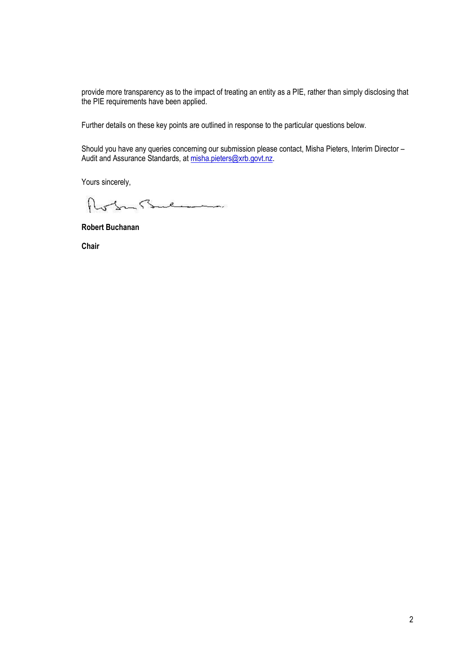provide more transparency as to the impact of treating an entity as a PIE, rather than simply disclosing that the PIE requirements have been applied.

Further details on these key points are outlined in response to the particular questions below.

Should you have any queries concerning our submission please contact, Misha Pieters, Interim Director – Audit and Assurance Standards, at *misha.pieters@xrb.govt.nz.* 

Yours sincerely,

Roberts

**Robert Buchanan**

**Chair**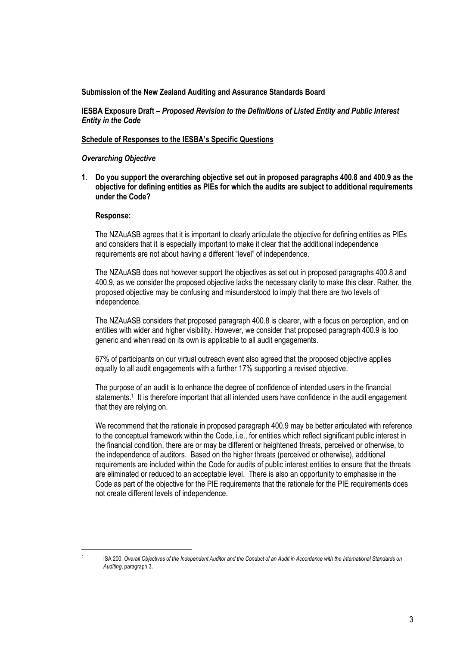### **Submission of the New Zealand Auditing and Assurance Standards Board**

**IESBA Exposure Draft** *– Proposed Revision to the Definitions of Listed Entity and Public Interest Entity in the Code*

### **Schedule of Responses to the IESBA's Specific Questions**

### *Overarching Objective*

**1. Do you support the overarching objective set out in proposed paragraphs 400.8 and 400.9 as the objective for defining entities as PIEs for which the audits are subject to additional requirements under the Code?**

### **Response:**

The NZAuASB agrees that it is important to clearly articulate the objective for defining entities as PIEs and considers that it is especially important to make it clear that the additional independence requirements are not about having a different "level" of independence.

The NZAuASB does not however support the objectives as set out in proposed paragraphs 400.8 and 400.9, as we consider the proposed objective lacks the necessary clarity to make this clear. Rather, the proposed objective may be confusing and misunderstood to imply that there are two levels of independence.

The NZAuASB considers that proposed paragraph 400.8 is clearer, with a focus on perception, and on entities with wider and higher visibility. However, we consider that proposed paragraph 400.9 is too generic and when read on its own is applicable to all audit engagements.

67% of participants on our virtual outreach event also agreed that the proposed objective applies equally to all audit engagements with a further 17% supporting a revised objective.

The purpose of an audit is to enhance the degree of confidence of intended users in the financial statements.<sup>1</sup> It is therefore important that all intended users have confidence in the audit engagement that they are relying on.

We recommend that the rationale in proposed paragraph 400.9 may be better articulated with reference to the conceptual framework within the Code, i.e., for entities which reflect significant public interest in the financial condition, there are or may be different or heightened threats, perceived or otherwise, to the independence of auditors. Based on the higher threats (perceived or otherwise), additional requirements are included within the Code for audits of public interest entities to ensure that the threats are eliminated or reduced to an acceptable level. There is also an opportunity to emphasise in the Code as part of the objective for the PIE requirements that the rationale for the PIE requirements does not create different levels of independence.

<sup>1</sup>

ISA 200, *Overall Objectives of the Independent Auditor and the Conduct of an Audit in Accordance with the International Standards on Auditing*, paragraph 3.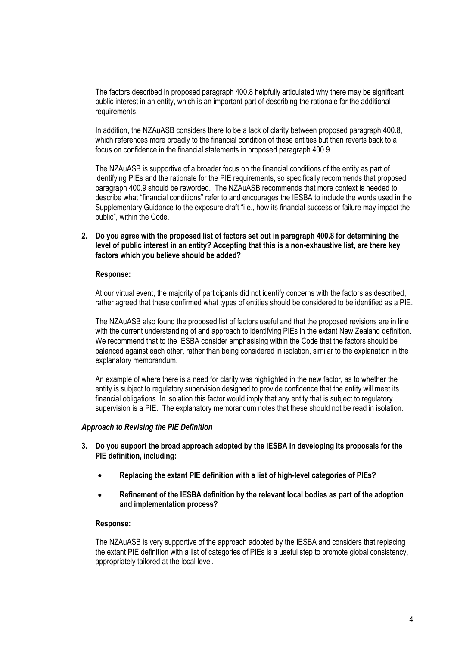The factors described in proposed paragraph 400.8 helpfully articulated why there may be significant public interest in an entity, which is an important part of describing the rationale for the additional requirements.

In addition, the NZAuASB considers there to be a lack of clarity between proposed paragraph 400.8, which references more broadly to the financial condition of these entities but then reverts back to a focus on confidence in the financial statements in proposed paragraph 400.9.

The NZAuASB is supportive of a broader focus on the financial conditions of the entity as part of identifying PIEs and the rationale for the PIE requirements, so specifically recommends that proposed paragraph 400.9 should be reworded. The NZAuASB recommends that more context is needed to describe what "financial conditions" refer to and encourages the IESBA to include the words used in the Supplementary Guidance to the exposure draft "i.e., how its financial success or failure may impact the public", within the Code.

## **2. Do you agree with the proposed list of factors set out in paragraph 400.8 for determining the level of public interest in an entity? Accepting that this is a non-exhaustive list, are there key factors which you believe should be added?**

### **Response:**

At our virtual event, the majority of participants did not identify concerns with the factors as described, rather agreed that these confirmed what types of entities should be considered to be identified as a PIE.

The NZAuASB also found the proposed list of factors useful and that the proposed revisions are in line with the current understanding of and approach to identifying PIEs in the extant New Zealand definition. We recommend that to the IESBA consider emphasising within the Code that the factors should be balanced against each other, rather than being considered in isolation, similar to the explanation in the explanatory memorandum.

An example of where there is a need for clarity was highlighted in the new factor, as to whether the entity is subject to regulatory supervision designed to provide confidence that the entity will meet its financial obligations. In isolation this factor would imply that any entity that is subject to regulatory supervision is a PIE. The explanatory memorandum notes that these should not be read in isolation.

### *Approach to Revising the PIE Definition*

- **3. Do you support the broad approach adopted by the IESBA in developing its proposals for the PIE definition, including:**
	- **Replacing the extant PIE definition with a list of high-level categories of PIEs?**
	- **Refinement of the IESBA definition by the relevant local bodies as part of the adoption and implementation process?**

#### **Response:**

The NZAuASB is very supportive of the approach adopted by the IESBA and considers that replacing the extant PIE definition with a list of categories of PIEs is a useful step to promote global consistency, appropriately tailored at the local level.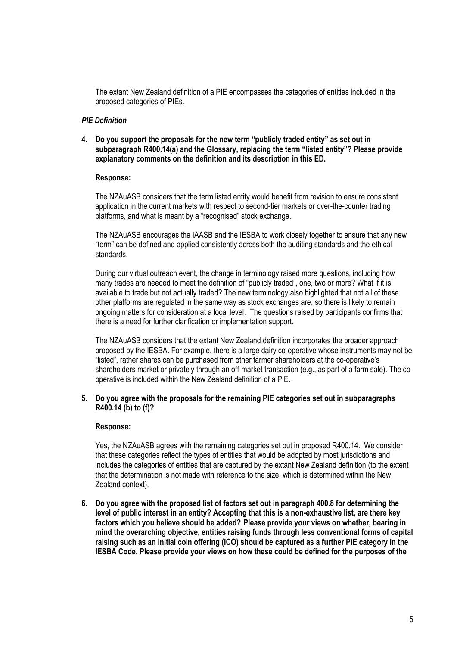The extant New Zealand definition of a PIE encompasses the categories of entities included in the proposed categories of PIEs.

### *PIE Definition*

**4. Do you support the proposals for the new term "publicly traded entity" as set out in subparagraph R400.14(a) and the Glossary, replacing the term "listed entity"? Please provide explanatory comments on the definition and its description in this ED.**

## **Response:**

The NZAuASB considers that the term listed entity would benefit from revision to ensure consistent application in the current markets with respect to second-tier markets or over-the-counter trading platforms, and what is meant by a "recognised" stock exchange.

The NZAuASB encourages the IAASB and the IESBA to work closely together to ensure that any new "term" can be defined and applied consistently across both the auditing standards and the ethical standards.

During our virtual outreach event, the change in terminology raised more questions, including how many trades are needed to meet the definition of "publicly traded", one, two or more? What if it is available to trade but not actually traded? The new terminology also highlighted that not all of these other platforms are regulated in the same way as stock exchanges are, so there is likely to remain ongoing matters for consideration at a local level. The questions raised by participants confirms that there is a need for further clarification or implementation support.

The NZAuASB considers that the extant New Zealand definition incorporates the broader approach proposed by the IESBA. For example, there is a large dairy co-operative whose instruments may not be "listed", rather shares can be purchased from other farmer shareholders at the co-operative's shareholders market or privately through an off-market transaction (e.g., as part of a farm sale). The cooperative is included within the New Zealand definition of a PIE.

## **5. Do you agree with the proposals for the remaining PIE categories set out in subparagraphs R400.14 (b) to (f)?**

### **Response:**

Yes, the NZAuASB agrees with the remaining categories set out in proposed R400.14. We consider that these categories reflect the types of entities that would be adopted by most jurisdictions and includes the categories of entities that are captured by the extant New Zealand definition (to the extent that the determination is not made with reference to the size, which is determined within the New Zealand context).

**6. Do you agree with the proposed list of factors set out in paragraph 400.8 for determining the level of public interest in an entity? Accepting that this is a non-exhaustive list, are there key factors which you believe should be added? Please provide your views on whether, bearing in mind the overarching objective, entities raising funds through less conventional forms of capital raising such as an initial coin offering (ICO) should be captured as a further PIE category in the IESBA Code. Please provide your views on how these could be defined for the purposes of the**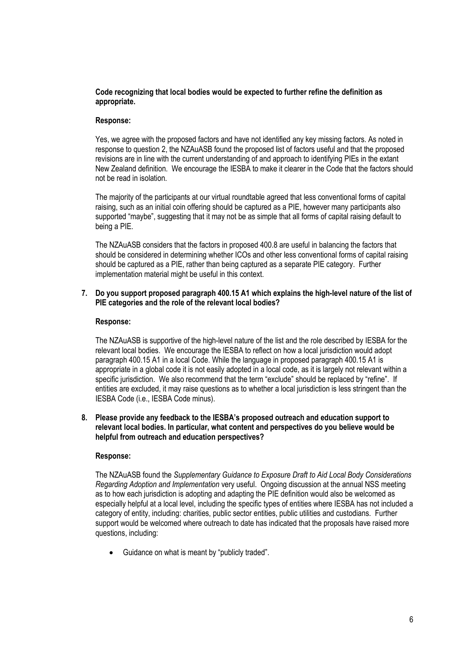## **Code recognizing that local bodies would be expected to further refine the definition as appropriate.**

# **Response:**

Yes, we agree with the proposed factors and have not identified any key missing factors. As noted in response to question 2, the NZAuASB found the proposed list of factors useful and that the proposed revisions are in line with the current understanding of and approach to identifying PIEs in the extant New Zealand definition. We encourage the IESBA to make it clearer in the Code that the factors should not be read in isolation.

The majority of the participants at our virtual roundtable agreed that less conventional forms of capital raising, such as an initial coin offering should be captured as a PIE, however many participants also supported "maybe", suggesting that it may not be as simple that all forms of capital raising default to being a PIE.

The NZAuASB considers that the factors in proposed 400.8 are useful in balancing the factors that should be considered in determining whether ICOs and other less conventional forms of capital raising should be captured as a PIE, rather than being captured as a separate PIE category. Further implementation material might be useful in this context.

### **7. Do you support proposed paragraph 400.15 A1 which explains the high-level nature of the list of PIE categories and the role of the relevant local bodies?**

## **Response:**

The NZAuASB is supportive of the high-level nature of the list and the role described by IESBA for the relevant local bodies. We encourage the IESBA to reflect on how a local jurisdiction would adopt paragraph 400.15 A1 in a local Code. While the language in proposed paragraph 400.15 A1 is appropriate in a global code it is not easily adopted in a local code, as it is largely not relevant within a specific jurisdiction. We also recommend that the term "exclude" should be replaced by "refine". If entities are excluded, it may raise questions as to whether a local jurisdiction is less stringent than the IESBA Code (i.e., IESBA Code minus).

### **8. Please provide any feedback to the IESBA's proposed outreach and education support to relevant local bodies. In particular, what content and perspectives do you believe would be helpful from outreach and education perspectives?**

# **Response:**

The NZAuASB found the *Supplementary Guidance to Exposure Draft to Aid Local Body Considerations Regarding Adoption and Implementation* very useful. Ongoing discussion at the annual NSS meeting as to how each jurisdiction is adopting and adapting the PIE definition would also be welcomed as especially helpful at a local level, including the specific types of entities where IESBA has not included a category of entity, including: charities, public sector entities, public utilities and custodians. Further support would be welcomed where outreach to date has indicated that the proposals have raised more questions, including:

• Guidance on what is meant by "publicly traded".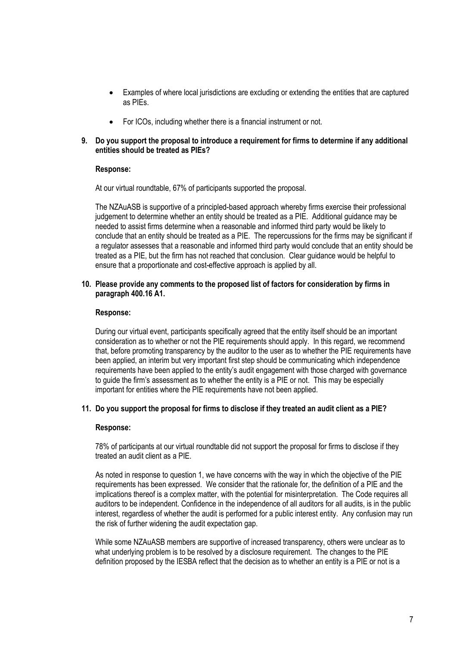- Examples of where local jurisdictions are excluding or extending the entities that are captured as PIEs.
- For ICOs, including whether there is a financial instrument or not.
- **9. Do you support the proposal to introduce a requirement for firms to determine if any additional entities should be treated as PIEs?**

## **Response:**

At our virtual roundtable, 67% of participants supported the proposal.

The NZAuASB is supportive of a principled-based approach whereby firms exercise their professional judgement to determine whether an entity should be treated as a PIE. Additional guidance may be needed to assist firms determine when a reasonable and informed third party would be likely to conclude that an entity should be treated as a PIE. The repercussions for the firms may be significant if a regulator assesses that a reasonable and informed third party would conclude that an entity should be treated as a PIE, but the firm has not reached that conclusion. Clear guidance would be helpful to ensure that a proportionate and cost-effective approach is applied by all.

### **10. Please provide any comments to the proposed list of factors for consideration by firms in paragraph 400.16 A1.**

### **Response:**

During our virtual event, participants specifically agreed that the entity itself should be an important consideration as to whether or not the PIE requirements should apply. In this regard, we recommend that, before promoting transparency by the auditor to the user as to whether the PIE requirements have been applied, an interim but very important first step should be communicating which independence requirements have been applied to the entity's audit engagement with those charged with governance to guide the firm's assessment as to whether the entity is a PIE or not. This may be especially important for entities where the PIE requirements have not been applied.

### **11. Do you support the proposal for firms to disclose if they treated an audit client as a PIE?**

### **Response:**

78% of participants at our virtual roundtable did not support the proposal for firms to disclose if they treated an audit client as a PIE.

As noted in response to question 1, we have concerns with the way in which the objective of the PIE requirements has been expressed. We consider that the rationale for, the definition of a PIE and the implications thereof is a complex matter, with the potential for misinterpretation. The Code requires all auditors to be independent. Confidence in the independence of all auditors for all audits, is in the public interest, regardless of whether the audit is performed for a public interest entity. Any confusion may run the risk of further widening the audit expectation gap.

While some NZAuASB members are supportive of increased transparency, others were unclear as to what underlying problem is to be resolved by a disclosure requirement. The changes to the PIE definition proposed by the IESBA reflect that the decision as to whether an entity is a PIE or not is a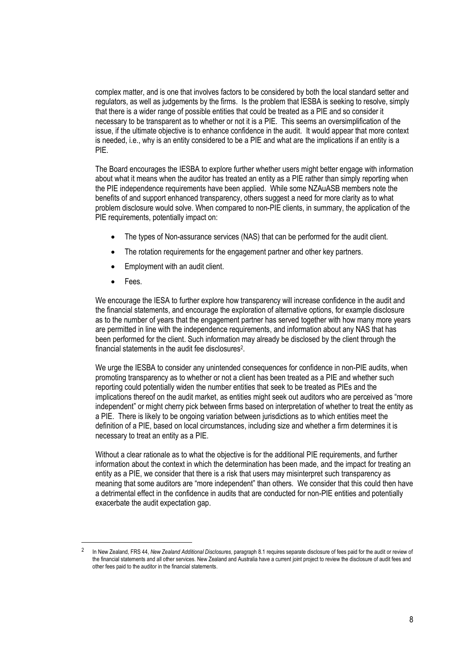complex matter, and is one that involves factors to be considered by both the local standard setter and regulators, as well as judgements by the firms. Is the problem that IESBA is seeking to resolve, simply that there is a wider range of possible entities that could be treated as a PIE and so consider it necessary to be transparent as to whether or not it is a PIE. This seems an oversimplification of the issue, if the ultimate objective is to enhance confidence in the audit. It would appear that more context is needed, i.e., why is an entity considered to be a PIE and what are the implications if an entity is a PIE.

The Board encourages the IESBA to explore further whether users might better engage with information about what it means when the auditor has treated an entity as a PIE rather than simply reporting when the PIE independence requirements have been applied. While some NZAuASB members note the benefits of and support enhanced transparency, others suggest a need for more clarity as to what problem disclosure would solve. When compared to non-PIE clients, in summary, the application of the PIE requirements, potentially impact on:

- The types of Non-assurance services (NAS) that can be performed for the audit client.
- The rotation requirements for the engagement partner and other key partners.
- Employment with an audit client.
- Fees.

We encourage the IESA to further explore how transparency will increase confidence in the audit and the financial statements, and encourage the exploration of alternative options, for example disclosure as to the number of years that the engagement partner has served together with how many more years are permitted in line with the independence requirements, and information about any NAS that has been performed for the client. Such information may already be disclosed by the client through the financial statements in the audit fee disclosures<sup>2</sup>.

We urge the IESBA to consider any unintended consequences for confidence in non-PIE audits, when promoting transparency as to whether or not a client has been treated as a PIE and whether such reporting could potentially widen the number entities that seek to be treated as PIEs and the implications thereof on the audit market, as entities might seek out auditors who are perceived as "more independent" or might cherry pick between firms based on interpretation of whether to treat the entity as a PIE. There is likely to be ongoing variation between jurisdictions as to which entities meet the definition of a PIE, based on local circumstances, including size and whether a firm determines it is necessary to treat an entity as a PIE.

Without a clear rationale as to what the objective is for the additional PIE requirements, and further information about the context in which the determination has been made, and the impact for treating an entity as a PIE, we consider that there is a risk that users may misinterpret such transparency as meaning that some auditors are "more independent" than others. We consider that this could then have a detrimental effect in the confidence in audits that are conducted for non-PIE entities and potentially exacerbate the audit expectation gap.

<sup>2</sup> In New Zealand, FRS 44, *New Zealand Additional Disclosures,* paragraph 8.1 requires separate disclosure of fees paid for the audit or review of the financial statements and all other services. New Zealand and Australia have a current joint project to review the disclosure of audit fees and other fees paid to the auditor in the financial statements.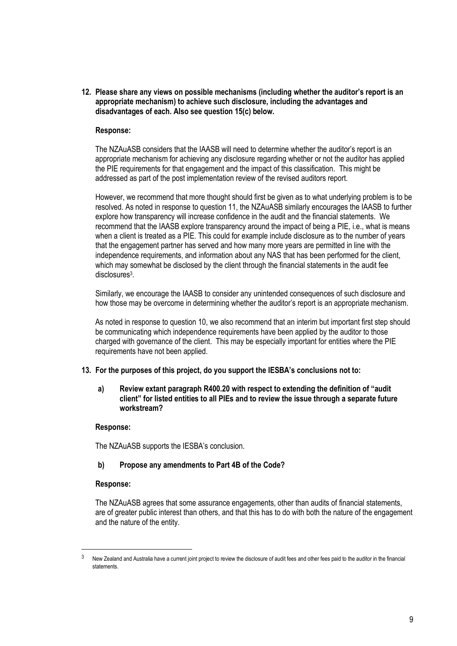**12. Please share any views on possible mechanisms (including whether the auditor's report is an appropriate mechanism) to achieve such disclosure, including the advantages and disadvantages of each. Also see question 15(c) below.** 

## **Response:**

The NZAuASB considers that the IAASB will need to determine whether the auditor's report is an appropriate mechanism for achieving any disclosure regarding whether or not the auditor has applied the PIE requirements for that engagement and the impact of this classification. This might be addressed as part of the post implementation review of the revised auditors report.

However, we recommend that more thought should first be given as to what underlying problem is to be resolved. As noted in response to question 11, the NZAuASB similarly encourages the IAASB to further explore how transparency will increase confidence in the audit and the financial statements. We recommend that the IAASB explore transparency around the impact of being a PIE, i.e., what is means when a client is treated as a PIE. This could for example include disclosure as to the number of years that the engagement partner has served and how many more years are permitted in line with the independence requirements, and information about any NAS that has been performed for the client, which may somewhat be disclosed by the client through the financial statements in the audit fee disclosures<sup>3</sup>.

Similarly, we encourage the IAASB to consider any unintended consequences of such disclosure and how those may be overcome in determining whether the auditor's report is an appropriate mechanism.

As noted in response to question 10, we also recommend that an interim but important first step should be communicating which independence requirements have been applied by the auditor to those charged with governance of the client. This may be especially important for entities where the PIE requirements have not been applied.

### **13. For the purposes of this project, do you support the IESBA's conclusions not to:**

### **a) Review extant paragraph R400.20 with respect to extending the definition of "audit client" for listed entities to all PIEs and to review the issue through a separate future workstream?**

### **Response:**

The NZAuASB supports the IESBA's conclusion.

### **b) Propose any amendments to Part 4B of the Code?**

### **Response:**

The NZAuASB agrees that some assurance engagements, other than audits of financial statements, are of greater public interest than others, and that this has to do with both the nature of the engagement and the nature of the entity.

 $3$  New Zealand and Australia have a current joint project to review the disclosure of audit fees and other fees paid to the auditor in the financial statements.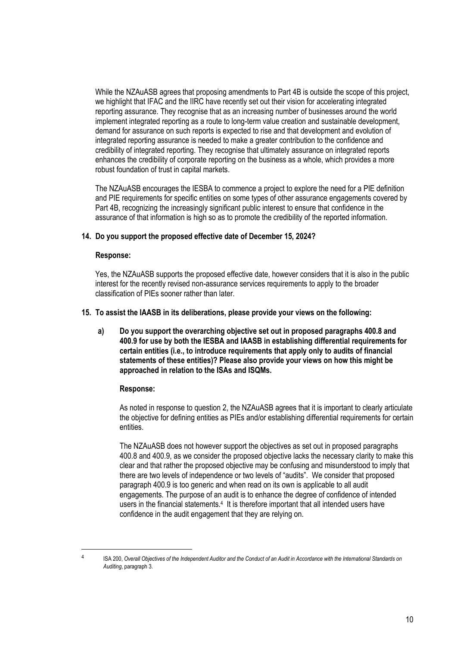While the NZAuASB agrees that proposing amendments to Part 4B is outside the scope of this project, we highlight that IFAC and the IIRC have recently set out their vision for accelerating integrated reporting assurance. They recognise that as an increasing number of businesses around the world implement integrated reporting as a route to long-term value creation and sustainable development, demand for assurance on such reports is expected to rise and that development and evolution of integrated reporting assurance is needed to make a greater contribution to the confidence and credibility of integrated reporting. They recognise that ultimately assurance on integrated reports enhances the credibility of corporate reporting on the business as a whole, which provides a more robust foundation of trust in capital markets.

The NZAuASB encourages the IESBA to commence a project to explore the need for a PIE definition and PIE requirements for specific entities on some types of other assurance engagements covered by Part 4B, recognizing the increasingly significant public interest to ensure that confidence in the assurance of that information is high so as to promote the credibility of the reported information.

## **14. Do you support the proposed effective date of December 15, 2024?**

### **Response:**

Yes, the NZAuASB supports the proposed effective date, however considers that it is also in the public interest for the recently revised non-assurance services requirements to apply to the broader classification of PIEs sooner rather than later.

## **15. To assist the IAASB in its deliberations, please provide your views on the following:**

**a) Do you support the overarching objective set out in proposed paragraphs 400.8 and 400.9 for use by both the IESBA and IAASB in establishing differential requirements for certain entities (i.e., to introduce requirements that apply only to audits of financial statements of these entities)? Please also provide your views on how this might be approached in relation to the ISAs and ISQMs.** 

# **Response:**

As noted in response to question 2, the NZAuASB agrees that it is important to clearly articulate the objective for defining entities as PIEs and/or establishing differential requirements for certain entities.

The NZAuASB does not however support the objectives as set out in proposed paragraphs 400.8 and 400.9, as we consider the proposed objective lacks the necessary clarity to make this clear and that rather the proposed objective may be confusing and misunderstood to imply that there are two levels of independence or two levels of "audits". We consider that proposed paragraph 400.9 is too generic and when read on its own is applicable to all audit engagements. The purpose of an audit is to enhance the degree of confidence of intended users in the financial statements.<sup>4</sup> It is therefore important that all intended users have confidence in the audit engagement that they are relying on.

<sup>4</sup>

ISA 200, *Overall Objectives of the Independent Auditor and the Conduct of an Audit in Accordance with the International Standards on Auditing*, paragraph 3.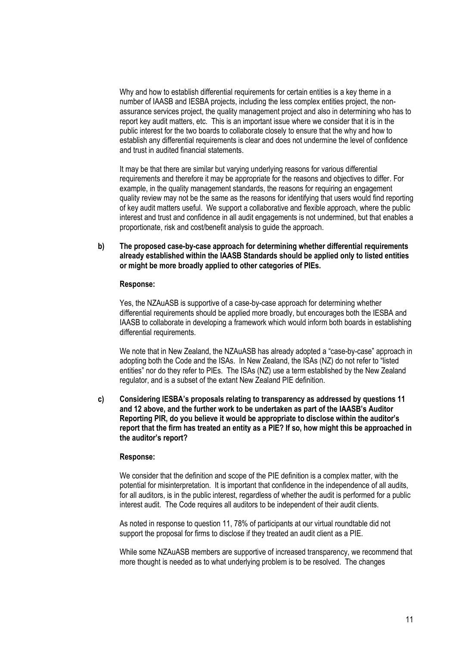Why and how to establish differential requirements for certain entities is a key theme in a number of IAASB and IESBA projects, including the less complex entities project, the nonassurance services project, the quality management project and also in determining who has to report key audit matters, etc. This is an important issue where we consider that it is in the public interest for the two boards to collaborate closely to ensure that the why and how to establish any differential requirements is clear and does not undermine the level of confidence and trust in audited financial statements.

It may be that there are similar but varying underlying reasons for various differential requirements and therefore it may be appropriate for the reasons and objectives to differ. For example, in the quality management standards, the reasons for requiring an engagement quality review may not be the same as the reasons for identifying that users would find reporting of key audit matters useful. We support a collaborative and flexible approach, where the public interest and trust and confidence in all audit engagements is not undermined, but that enables a proportionate, risk and cost/benefit analysis to guide the approach.

**b) The proposed case-by-case approach for determining whether differential requirements already established within the IAASB Standards should be applied only to listed entities or might be more broadly applied to other categories of PIEs.** 

#### **Response:**

Yes, the NZAuASB is supportive of a case-by-case approach for determining whether differential requirements should be applied more broadly, but encourages both the IESBA and IAASB to collaborate in developing a framework which would inform both boards in establishing differential requirements.

We note that in New Zealand, the NZAuASB has already adopted a "case-by-case" approach in adopting both the Code and the ISAs. In New Zealand, the ISAs (NZ) do not refer to "listed entities" nor do they refer to PIEs. The ISAs (NZ) use a term established by the New Zealand regulator, and is a subset of the extant New Zealand PIE definition.

**c) Considering IESBA's proposals relating to transparency as addressed by questions 11 and 12 above, and the further work to be undertaken as part of the IAASB's Auditor Reporting PIR, do you believe it would be appropriate to disclose within the auditor's report that the firm has treated an entity as a PIE? If so, how might this be approached in the auditor's report?** 

### **Response:**

We consider that the definition and scope of the PIE definition is a complex matter, with the potential for misinterpretation. It is important that confidence in the independence of all audits, for all auditors, is in the public interest, regardless of whether the audit is performed for a public interest audit. The Code requires all auditors to be independent of their audit clients.

As noted in response to question 11, 78% of participants at our virtual roundtable did not support the proposal for firms to disclose if they treated an audit client as a PIE.

While some NZAuASB members are supportive of increased transparency, we recommend that more thought is needed as to what underlying problem is to be resolved. The changes